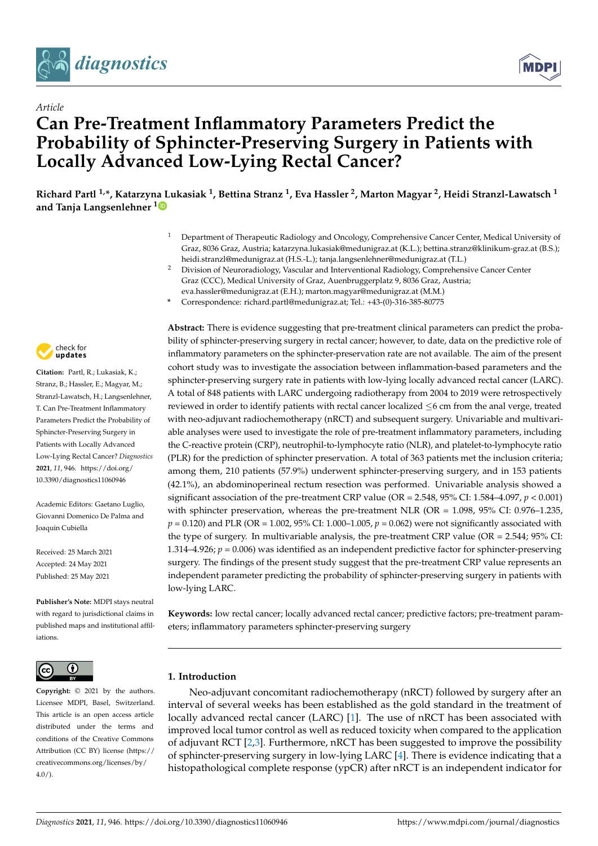

*Article*



# **Can Pre-Treatment Inflammatory Parameters Predict the Probability of Sphincter-Preserving Surgery in Patients with Locally Advanced Low-Lying Rectal Cancer?**

**Richard Partl 1,\*, Katarzy[na L](https://orcid.org/0000-0002-1983-4262)ukasiak <sup>1</sup> , Bettina Stranz <sup>1</sup> , Eva Hassler <sup>2</sup> , Marton Magyar <sup>2</sup> , Heidi Stranzl-Lawatsch <sup>1</sup> and Tanja Langsenlehner <sup>1</sup>**

- <sup>1</sup> Department of Therapeutic Radiology and Oncology, Comprehensive Cancer Center, Medical University of Graz, 8036 Graz, Austria; katarzyna.lukasiak@medunigraz.at (K.L.); bettina.stranz@klinikum-graz.at (B.S.); heidi.stranzl@medunigraz.at (H.S.-L.); tanja.langsenlehner@medunigraz.at (T.L.)
- <sup>2</sup> Division of Neuroradiology, Vascular and Interventional Radiology, Comprehensive Cancer Center Graz (CCC), Medical University of Graz, Auenbruggerplatz 9, 8036 Graz, Austria; eva.hassler@medunigraz.at (E.H.); marton.magyar@medunigraz.at (M.M.)
- **\*** Correspondence: richard.partl@medunigraz.at; Tel.: +43-(0)-316-385-80775



**Citation:** Partl, R.; Lukasiak, K.; Stranz, B.; Hassler, E.; Magyar, M.; Stranzl-Lawatsch, H.; Langsenlehner, T. Can Pre-Treatment Inflammatory Parameters Predict the Probability of Sphincter-Preserving Surgery in Patients with Locally Advanced Low-Lying Rectal Cancer? *Diagnostics* **2021**, *11*, 946. [https://doi.org/](https://doi.org/10.3390/diagnostics11060946) [10.3390/diagnostics11060946](https://doi.org/10.3390/diagnostics11060946)

Academic Editors: Gaetano Luglio, Giovanni Domenico De Palma and Joaquin Cubiella

Received: 25 March 2021 Accepted: 24 May 2021 Published: 25 May 2021

**Publisher's Note:** MDPI stays neutral with regard to jurisdictional claims in published maps and institutional affiliations.



**Copyright:** © 2021 by the authors. Licensee MDPI, Basel, Switzerland. This article is an open access article distributed under the terms and conditions of the Creative Commons Attribution (CC BY) license (https:/[/](https://creativecommons.org/licenses/by/4.0/) [creativecommons.org/licenses/by/](https://creativecommons.org/licenses/by/4.0/)  $4.0/$ ).

**Abstract:** There is evidence suggesting that pre-treatment clinical parameters can predict the probability of sphincter-preserving surgery in rectal cancer; however, to date, data on the predictive role of inflammatory parameters on the sphincter-preservation rate are not available. The aim of the present cohort study was to investigate the association between inflammation-based parameters and the sphincter-preserving surgery rate in patients with low-lying locally advanced rectal cancer (LARC). A total of 848 patients with LARC undergoing radiotherapy from 2004 to 2019 were retrospectively reviewed in order to identify patients with rectal cancer localized  $\leq$ 6 cm from the anal verge, treated with neo-adjuvant radiochemotherapy (nRCT) and subsequent surgery. Univariable and multivariable analyses were used to investigate the role of pre-treatment inflammatory parameters, including the C-reactive protein (CRP), neutrophil-to-lymphocyte ratio (NLR), and platelet-to-lymphocyte ratio (PLR) for the prediction of sphincter preservation. A total of 363 patients met the inclusion criteria; among them, 210 patients (57.9%) underwent sphincter-preserving surgery, and in 153 patients (42.1%), an abdominoperineal rectum resection was performed. Univariable analysis showed a significant association of the pre-treatment CRP value (OR = 2.548, 95% CI: 1.584–4.097, *p* < 0.001) with sphincter preservation, whereas the pre-treatment NLR (OR = 1.098, 95% CI: 0.976–1.235,  $p = 0.120$ ) and PLR (OR = 1.002, 95% CI: 1.000–1.005,  $p = 0.062$ ) were not significantly associated with the type of surgery. In multivariable analysis, the pre-treatment CRP value (OR =  $2.544$ ;  $95\%$  CI: 1.314–4.926;  $p = 0.006$ ) was identified as an independent predictive factor for sphincter-preserving surgery. The findings of the present study suggest that the pre-treatment CRP value represents an independent parameter predicting the probability of sphincter-preserving surgery in patients with low-lying LARC.

**Keywords:** low rectal cancer; locally advanced rectal cancer; predictive factors; pre-treatment parameters; inflammatory parameters sphincter-preserving surgery

## **1. Introduction**

Neo-adjuvant concomitant radiochemotherapy (nRCT) followed by surgery after an interval of several weeks has been established as the gold standard in the treatment of locally advanced rectal cancer (LARC) [\[1\]](#page-9-0). The use of nRCT has been associated with improved local tumor control as well as reduced toxicity when compared to the application of adjuvant RCT [\[2,](#page-9-1)[3\]](#page-9-2). Furthermore, nRCT has been suggested to improve the possibility of sphincter-preserving surgery in low-lying LARC [\[4\]](#page-9-3). There is evidence indicating that a histopathological complete response (ypCR) after nRCT is an independent indicator for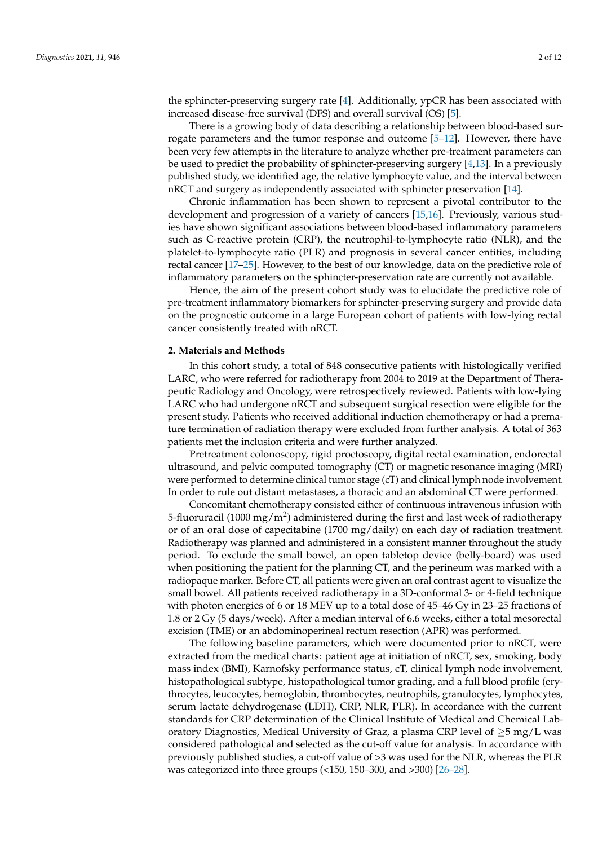the sphincter-preserving surgery rate [\[4\]](#page-9-3). Additionally, ypCR has been associated with increased disease-free survival (DFS) and overall survival (OS) [\[5\]](#page-9-4).

There is a growing body of data describing a relationship between blood-based sur-rogate parameters and the tumor response and outcome [\[5](#page-9-4)[–12\]](#page-9-5). However, there have been very few attempts in the literature to analyze whether pre-treatment parameters can be used to predict the probability of sphincter-preserving surgery [\[4](#page-9-3)[,13\]](#page-9-6). In a previously published study, we identified age, the relative lymphocyte value, and the interval between nRCT and surgery as independently associated with sphincter preservation [\[14\]](#page-9-7).

Chronic inflammation has been shown to represent a pivotal contributor to the development and progression of a variety of cancers [\[15](#page-9-8)[,16\]](#page-9-9). Previously, various studies have shown significant associations between blood-based inflammatory parameters such as C-reactive protein (CRP), the neutrophil-to-lymphocyte ratio (NLR), and the platelet-to-lymphocyte ratio (PLR) and prognosis in several cancer entities, including rectal cancer [\[17](#page-9-10)[–25\]](#page-10-0). However, to the best of our knowledge, data on the predictive role of inflammatory parameters on the sphincter-preservation rate are currently not available.

Hence, the aim of the present cohort study was to elucidate the predictive role of pre-treatment inflammatory biomarkers for sphincter-preserving surgery and provide data on the prognostic outcome in a large European cohort of patients with low-lying rectal cancer consistently treated with nRCT.

#### **2. Materials and Methods**

In this cohort study, a total of 848 consecutive patients with histologically verified LARC, who were referred for radiotherapy from 2004 to 2019 at the Department of Therapeutic Radiology and Oncology, were retrospectively reviewed. Patients with low-lying LARC who had undergone nRCT and subsequent surgical resection were eligible for the present study. Patients who received additional induction chemotherapy or had a premature termination of radiation therapy were excluded from further analysis. A total of 363 patients met the inclusion criteria and were further analyzed.

Pretreatment colonoscopy, rigid proctoscopy, digital rectal examination, endorectal ultrasound, and pelvic computed tomography (CT) or magnetic resonance imaging (MRI) were performed to determine clinical tumor stage (cT) and clinical lymph node involvement. In order to rule out distant metastases, a thoracic and an abdominal CT were performed.

Concomitant chemotherapy consisted either of continuous intravenous infusion with 5-fluoruracil (1000 mg/m<sup>2</sup>) administered during the first and last week of radiotherapy or of an oral dose of capecitabine (1700 mg/daily) on each day of radiation treatment. Radiotherapy was planned and administered in a consistent manner throughout the study period. To exclude the small bowel, an open tabletop device (belly-board) was used when positioning the patient for the planning CT, and the perineum was marked with a radiopaque marker. Before CT, all patients were given an oral contrast agent to visualize the small bowel. All patients received radiotherapy in a 3D-conformal 3- or 4-field technique with photon energies of 6 or 18 MEV up to a total dose of 45–46 Gy in 23–25 fractions of 1.8 or 2 Gy (5 days/week). After a median interval of 6.6 weeks, either a total mesorectal excision (TME) or an abdominoperineal rectum resection (APR) was performed.

The following baseline parameters, which were documented prior to nRCT, were extracted from the medical charts: patient age at initiation of nRCT, sex, smoking, body mass index (BMI), Karnofsky performance status, cT, clinical lymph node involvement, histopathological subtype, histopathological tumor grading, and a full blood profile (erythrocytes, leucocytes, hemoglobin, thrombocytes, neutrophils, granulocytes, lymphocytes, serum lactate dehydrogenase (LDH), CRP, NLR, PLR). In accordance with the current standards for CRP determination of the Clinical Institute of Medical and Chemical Laboratory Diagnostics, Medical University of Graz, a plasma CRP level of  $\geq 5$  mg/L was considered pathological and selected as the cut-off value for analysis. In accordance with previously published studies, a cut-off value of >3 was used for the NLR, whereas the PLR was categorized into three groups (<150, 150–300, and >300) [\[26](#page-10-1)[–28\]](#page-10-2).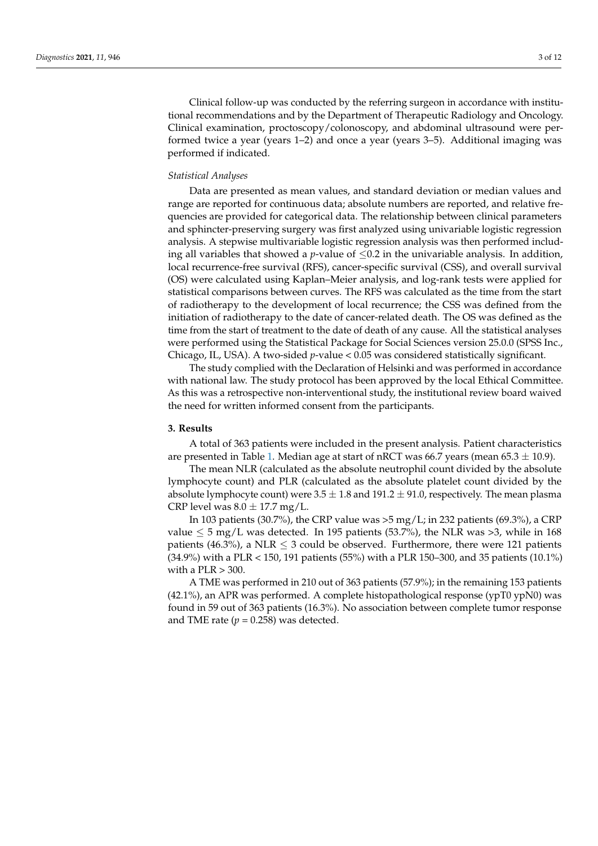Clinical follow-up was conducted by the referring surgeon in accordance with institutional recommendations and by the Department of Therapeutic Radiology and Oncology. Clinical examination, proctoscopy/colonoscopy, and abdominal ultrasound were performed twice a year (years 1–2) and once a year (years 3–5). Additional imaging was performed if indicated.

### *Statistical Analyses*

Data are presented as mean values, and standard deviation or median values and range are reported for continuous data; absolute numbers are reported, and relative frequencies are provided for categorical data. The relationship between clinical parameters and sphincter-preserving surgery was first analyzed using univariable logistic regression analysis. A stepwise multivariable logistic regression analysis was then performed including all variables that showed a *p*-value of  $\leq 0.2$  in the univariable analysis. In addition, local recurrence-free survival (RFS), cancer-specific survival (CSS), and overall survival (OS) were calculated using Kaplan–Meier analysis, and log-rank tests were applied for statistical comparisons between curves. The RFS was calculated as the time from the start of radiotherapy to the development of local recurrence; the CSS was defined from the initiation of radiotherapy to the date of cancer-related death. The OS was defined as the time from the start of treatment to the date of death of any cause. All the statistical analyses were performed using the Statistical Package for Social Sciences version 25.0.0 (SPSS Inc., Chicago, IL, USA). A two-sided *p*-value < 0.05 was considered statistically significant.

The study complied with the Declaration of Helsinki and was performed in accordance with national law. The study protocol has been approved by the local Ethical Committee. As this was a retrospective non-interventional study, the institutional review board waived the need for written informed consent from the participants.

#### **3. Results**

A total of 363 patients were included in the present analysis. Patient characteristics are presented in Table [1.](#page-3-0) Median age at start of nRCT was 66.7 years (mean 65.3  $\pm$  10.9).

The mean NLR (calculated as the absolute neutrophil count divided by the absolute lymphocyte count) and PLR (calculated as the absolute platelet count divided by the absolute lymphocyte count) were  $3.5 \pm 1.8$  and  $191.2 \pm 91.0$ , respectively. The mean plasma CRP level was  $8.0 \pm 17.7$  mg/L.

In 103 patients (30.7%), the CRP value was  $>5$  mg/L; in 232 patients (69.3%), a CRP value  $\leq$  5 mg/L was detected. In 195 patients (53.7%), the NLR was >3, while in 168 patients (46.3%), a NLR  $\leq$  3 could be observed. Furthermore, there were 121 patients (34.9%) with a PLR < 150, 191 patients (55%) with a PLR 150–300, and 35 patients (10.1%) with a  $PLR > 300$ .

A TME was performed in 210 out of 363 patients (57.9%); in the remaining 153 patients (42.1%), an APR was performed. A complete histopathological response (ypT0 ypN0) was found in 59 out of 363 patients (16.3%). No association between complete tumor response and TME rate  $(p = 0.258)$  was detected.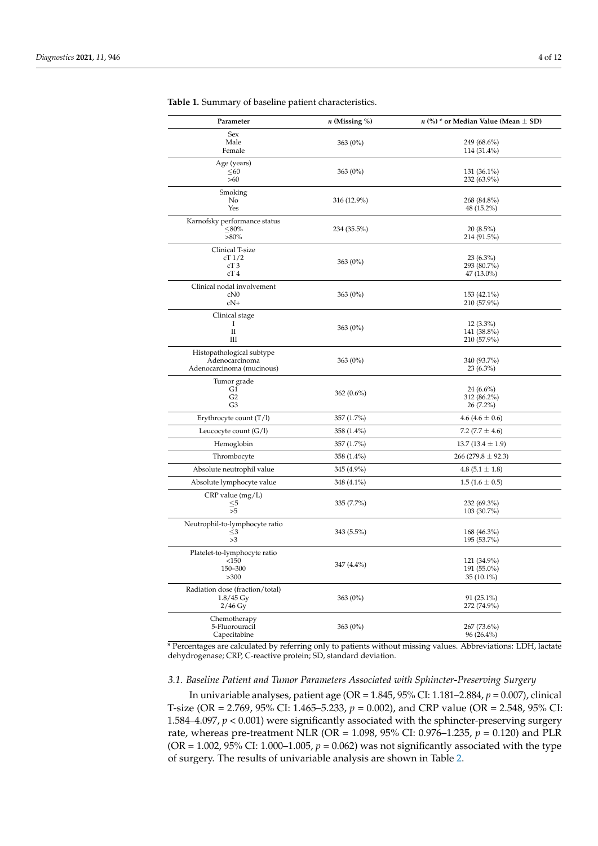| Parameter                                                                | $n$ (Missing %) | $n$ (%) * or Median Value (Mean $\pm$ SD)  |
|--------------------------------------------------------------------------|-----------------|--------------------------------------------|
| Sex<br>Male<br>Female                                                    | 363 (0%)        | 249 (68.6%)<br>114 (31.4%)                 |
| Age (years)<br>$\leq 60$<br>>60                                          | $363(0\%)$      | $131(36.1\%)$<br>232 (63.9%)               |
| Smoking<br>No<br>Yes                                                     | 316 (12.9%)     | 268 (84.8%)<br>48 (15.2%)                  |
| Karnofsky performance status<br>≤ $80%$<br>$>80\%$                       | 234 (35.5%)     | $20(8.5\%)$<br>214 (91.5%)                 |
| Clinical T-size<br>cT1/2<br>cT3<br>cT4                                   | $363(0\%)$      | $23(6.3\%)$<br>293 (80.7%)<br>$47(13.0\%)$ |
| Clinical nodal involvement<br>cN0<br>$cN+$                               | $363(0\%)$      | 153 (42.1%)<br>210 (57.9%)                 |
| Clinical stage<br>Ι<br>П<br>Ш                                            | $363(0\%)$      | $12(3.3\%)$<br>141 (38.8%)<br>210 (57.9%)  |
| Histopathological subtype<br>Adenocarcinoma<br>Adenocarcinoma (mucinous) | $363(0\%)$      | 340 (93.7%)<br>$23(6.3\%)$                 |
| Tumor grade<br>G1<br>G2<br>G3                                            | $362(0.6\%)$    | $24(6.6\%)$<br>312 (86.2%)<br>26 (7.2%)    |
| Erythrocyte count $(T/l)$                                                | 357 (1.7%)      | $4.6(4.6 \pm 0.6)$                         |
| Leucocyte count $(G/l)$                                                  | 358 (1.4%)      | 7.2 (7.7 $\pm$ 4.6)                        |
| Hemoglobin                                                               | 357 (1.7%)      | $13.7(13.4 \pm 1.9)$                       |
| Thrombocyte                                                              | 358 (1.4%)      | $266(279.8 \pm 92.3)$                      |
| Absolute neutrophil value                                                | 345 (4.9%)      | $4.8(5.1 \pm 1.8)$                         |
| Absolute lymphocyte value                                                | 348 (4.1%)      | $1.5(1.6 \pm 0.5)$                         |
| $CRP$ value $(mg/L)$<br>$\leq$ 5<br>>5                                   | $335(7.7\%)$    | 232 (69.3%)<br>103 (30.7%)                 |
| Neutrophil-to-lymphocyte ratio<br>$\leq$ 3<br>>3                         | $343(5.5\%)$    | 168 (46.3%)<br>195 (53.7%)                 |
| Platelet-to-lymphocyte ratio<br><150<br>150-300<br>>300                  | 347 (4.4%)      | 121 (34.9%)<br>191 (55.0%)<br>35 (10.1%)   |
| Radiation dose (fraction/total)<br>$1.8/45 \,\mathrm{Gy}$<br>$2/46$ Gy   | 363 (0%)        | $91(25.1\%)$<br>272 (74.9%)                |
| Chemotherapy<br>5-Fluorouracil<br>Capecitabine                           | 363 (0%)        | 267 (73.6%)<br>96 (26.4%)                  |

<span id="page-3-0"></span>**Table 1.** Summary of baseline patient characteristics.

\* Percentages are calculated by referring only to patients without missing values. Abbreviations: LDH, lactate dehydrogenase; CRP, C-reactive protein; SD, standard deviation.

## *3.1. Baseline Patient and Tumor Parameters Associated with Sphincter-Preserving Surgery*

In univariable analyses, patient age (OR = 1.845, 95% CI: 1.181–2.884, *p* = 0.007), clinical T-size (OR = 2.769, 95% CI: 1.465–5.233, *p* = 0.002), and CRP value (OR = 2.548, 95% CI: 1.584–4.097, *p* < 0.001) were significantly associated with the sphincter-preserving surgery rate, whereas pre-treatment NLR (OR = 1.098, 95% CI: 0.976–1.235, *p* = 0.120) and PLR (OR =  $1.002$ ,  $95\%$  CI:  $1.000-1.005$ ,  $p = 0.062$ ) was not significantly associated with the type of surgery. The results of univariable analysis are shown in Table [2.](#page-4-0)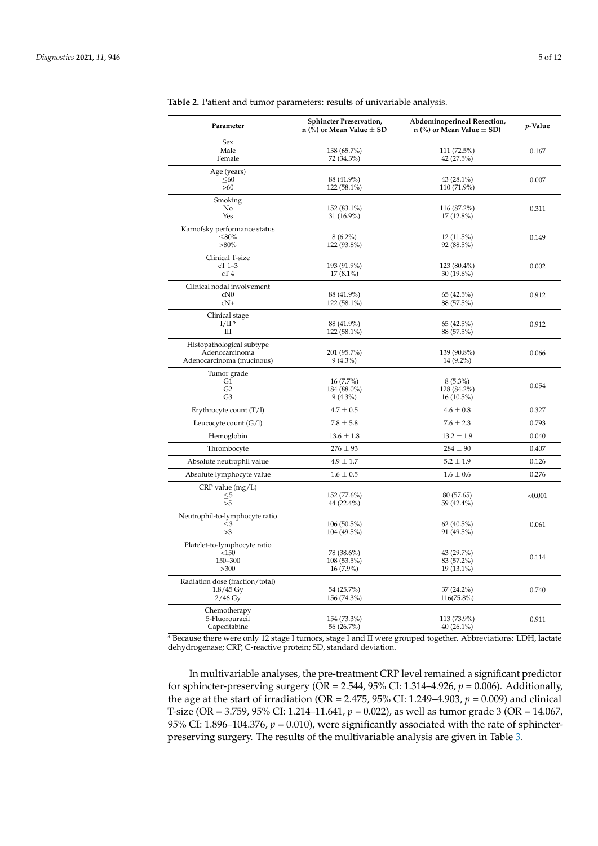| Parameter                       | <b>Sphincter Preservation,</b><br>n (%) or Mean Value $\pm$ SD | Abdominoperineal Resection,<br>n (%) or Mean Value $\pm$ SD) | p-Value |
|---------------------------------|----------------------------------------------------------------|--------------------------------------------------------------|---------|
| Sex                             |                                                                |                                                              |         |
| Male                            | 138 (65.7%)                                                    | 111 (72.5%)                                                  | 0.167   |
| Female                          | 72 (34.3%)                                                     | 42 (27.5%)                                                   |         |
| Age (years)                     |                                                                |                                                              |         |
| $\leq 60$                       | 88 (41.9%)                                                     | 43 $(28.1\%)$                                                | 0.007   |
| >60                             | 122 (58.1%)                                                    | 110 (71.9%)                                                  |         |
| Smoking                         |                                                                |                                                              |         |
| No                              | 152 (83.1%)                                                    | 116 (87.2%)                                                  | 0.311   |
| Yes                             | 31 (16.9%)                                                     | 17 (12.8%)                                                   |         |
| Karnofsky performance status    |                                                                |                                                              |         |
| $\leq$ 80%                      | $8(6.2\%)$                                                     | $12(11.5\%)$                                                 | 0.149   |
| $>80\%$                         | 122 (93.8%)                                                    | 92 (88.5%)                                                   |         |
| Clinical T-size                 |                                                                |                                                              |         |
| $cT$ 1-3                        | 193 (91.9%)                                                    | 123 (80.4%)                                                  | 0.002   |
| cT4                             | $17(8.1\%)$                                                    | 30 (19.6%)                                                   |         |
| Clinical nodal involvement      |                                                                |                                                              |         |
| cN0                             | 88 (41.9%)                                                     | 65 (42.5%)                                                   | 0.912   |
| $cN+$                           | 122 (58.1%)                                                    | 88 (57.5%)                                                   |         |
| Clinical stage                  |                                                                |                                                              |         |
| $I/II^*$                        | 88 (41.9%)                                                     | 65 (42.5%)                                                   | 0.912   |
| Ш                               | 122 (58.1%)                                                    | 88 (57.5%)                                                   |         |
| Histopathological subtype       |                                                                |                                                              |         |
| Adenocarcinoma                  | 201 (95.7%)                                                    | 139 (90.8%)                                                  | 0.066   |
| Adenocarcinoma (mucinous)       | $9(4.3\%)$                                                     | 14 (9.2%)                                                    |         |
| Tumor grade                     |                                                                |                                                              |         |
| G1                              | $16(7.7\%)$                                                    | $8(5.3\%)$                                                   |         |
| G <sub>2</sub>                  | 184 (88.0%)                                                    | 128 (84.2%)                                                  | 0.054   |
| G <sub>3</sub>                  | $9(4.3\%)$                                                     | $16(10.5\%)$                                                 |         |
| Erythrocyte count $(T/l)$       | $4.7\pm0.5$                                                    | $4.6 \pm 0.8$                                                | 0.327   |
| Leucocyte count (G/l)           | $7.8 \pm 5.8$                                                  | $7.6 \pm 2.3$                                                | 0.793   |
| Hemoglobin                      | $13.6 \pm 1.8$                                                 | $13.2 \pm 1.9$                                               | 0.040   |
| Thrombocyte                     | $276 \pm 93$                                                   | $284 \pm 90$                                                 | 0.407   |
| Absolute neutrophil value       | $4.9\pm1.7$                                                    | $5.2\pm1.9$                                                  | 0.126   |
| Absolute lymphocyte value       | $1.6 \pm 0.5$                                                  | $1.6 \pm 0.6$                                                | 0.276   |
| $CRP$ value $(mg/L)$            |                                                                |                                                              |         |
| $\leq$ 5                        | 152 (77.6%)                                                    | 80 (57.65)                                                   | < 0.001 |
| >5                              | 44 (22.4%)                                                     | 59 (42.4%)                                                   |         |
| Neutrophil-to-lymphocyte ratio  |                                                                |                                                              |         |
| $<$ 3                           | $106(50.5\%)$                                                  | 62(40.5%)                                                    | 0.061   |
| >3                              | 104 (49.5%)                                                    | 91 (49.5%)                                                   |         |
| Platelet-to-lymphocyte ratio    |                                                                |                                                              |         |
| <150                            | 78 (38.6%)                                                     | 43 (29.7%)                                                   |         |
| 150-300                         | 108 (53.5%)                                                    | 83 (57.2%)                                                   | 0.114   |
| >300                            | $16(7.9\%)$                                                    | 19 (13.1%)                                                   |         |
| Radiation dose (fraction/total) |                                                                |                                                              |         |
| $1.8/45$ Gy                     | 54 (25.7%)                                                     | $37(24.2\%)$                                                 | 0.740   |
| $2/46$ Gy                       | 156 (74.3%)                                                    | 116(75.8%)                                                   |         |
| Chemotherapy                    |                                                                |                                                              |         |
| 5-Fluorouracil                  | 154 (73.3%)                                                    | 113 (73.9%)                                                  | 0.911   |
| Capecitabine                    | 56 (26.7%)                                                     | 40 (26.1%)                                                   |         |

<span id="page-4-0"></span>**Table 2.** Patient and tumor parameters: results of univariable analysis.

\* Because there were only 12 stage I tumors, stage I and II were grouped together. Abbreviations: LDH, lactate dehydrogenase; CRP, C-reactive protein; SD, standard deviation.

In multivariable analyses, the pre-treatment CRP level remained a significant predictor for sphincter-preserving surgery ( $\overline{OR} = 2.544$ , 95% CI: 1.314–4.926,  $p = 0.006$ ). Additionally, the age at the start of irradiation (OR = 2.475, 95% CI: 1.249–4.903, *p* = 0.009) and clinical T-size (OR = 3.759, 95% CI: 1.214–11.641, *p* = 0.022), as well as tumor grade 3 (OR = 14.067, 95% CI: 1.896–104.376,  $p = 0.010$ ), were significantly associated with the rate of sphincterpreserving surgery. The results of the multivariable analysis are given in Table [3.](#page-5-0)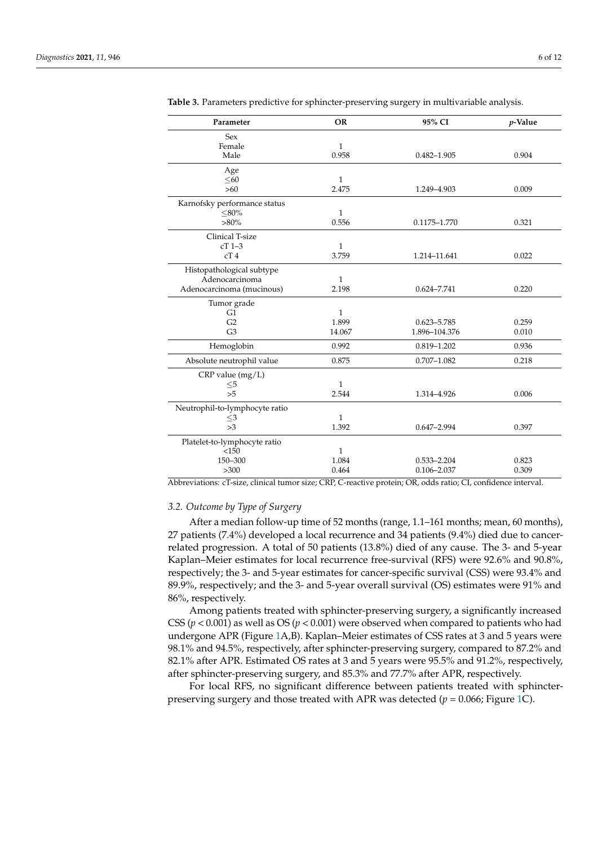| Parameter                      | <b>OR</b>    | 95% CI          | $p$ -Value |
|--------------------------------|--------------|-----------------|------------|
| <b>Sex</b>                     |              |                 |            |
| Female                         | $\mathbf{1}$ |                 |            |
| Male                           | 0.958        | $0.482 - 1.905$ | 0.904      |
| Age                            |              |                 |            |
| < 60                           | 1            |                 |            |
| $>60$                          | 2.475        | 1.249-4.903     | 0.009      |
| Karnofsky performance status   |              |                 |            |
| $< 80\%$                       | $\mathbf{1}$ |                 |            |
| $>80\%$                        | 0.556        | 0.1175-1.770    | 0.321      |
| Clinical T-size                |              |                 |            |
| $cT$ 1-3                       | 1            |                 |            |
| cT4                            | 3.759        | 1.214-11.641    | 0.022      |
| Histopathological subtype      |              |                 |            |
| Adenocarcinoma                 | $\mathbf{1}$ |                 |            |
| Adenocarcinoma (mucinous)      | 2.198        | $0.624 - 7.741$ | 0.220      |
| Tumor grade                    |              |                 |            |
| G <sub>1</sub>                 | $\mathbf{1}$ |                 |            |
| G <sub>2</sub>                 | 1.899        | $0.623 - 5.785$ | 0.259      |
| G <sub>3</sub>                 | 14.067       | 1.896-104.376   | 0.010      |
| Hemoglobin                     | 0.992        | $0.819 - 1.202$ | 0.936      |
| Absolute neutrophil value      | 0.875        | $0.707 - 1.082$ | 0.218      |
| $CRP$ value $(mg/L)$           |              |                 |            |
| $\leq\!\!5$                    | 1            |                 |            |
| > 5                            | 2.544        | 1.314-4.926     | 0.006      |
| Neutrophil-to-lymphocyte ratio |              |                 |            |
| $\leq$ 3                       | $\mathbf{1}$ |                 |            |
| >3                             | 1.392        | $0.647 - 2.994$ | 0.397      |
| Platelet-to-lymphocyte ratio   |              |                 |            |
| <150                           | $\mathbf{1}$ |                 |            |
| 150-300                        | 1.084        | $0.533 - 2.204$ | 0.823      |
| >300                           | 0.464        | $0.106 - 2.037$ | 0.309      |

<span id="page-5-0"></span>**Table 3.** Parameters predictive for sphincter-preserving surgery in multivariable analysis.

Abbreviations: cT-size, clinical tumor size; CRP, C-reactive protein; OR, odds ratio; CI, confidence interval.

### *3.2. Outcome by Type of Surgery*

After a median follow-up time of 52 months (range, 1.1–161 months; mean, 60 months), 27 patients (7.4%) developed a local recurrence and 34 patients (9.4%) died due to cancerrelated progression. A total of 50 patients (13.8%) died of any cause. The 3- and 5-year Kaplan–Meier estimates for local recurrence free-survival (RFS) were 92.6% and 90.8%, respectively; the 3- and 5-year estimates for cancer-specific survival (CSS) were 93.4% and 89.9%, respectively; and the 3- and 5-year overall survival (OS) estimates were 91% and 86%, respectively.

Among patients treated with sphincter-preserving surgery, a significantly increased CSS ( $p < 0.001$ ) as well as OS ( $p < 0.001$ ) were observed when compared to patients who had undergone APR (Figure [1A](#page-6-0),B). Kaplan–Meier estimates of CSS rates at 3 and 5 years were 98.1% and 94.5%, respectively, after sphincter-preserving surgery, compared to 87.2% and 82.1% after APR. Estimated OS rates at 3 and 5 years were 95.5% and 91.2%, respectively, after sphincter-preserving surgery, and 85.3% and 77.7% after APR, respectively.

For local RFS, no significant difference between patients treated with sphincterpreserving surgery and those treated with APR was detected (*p* = 0.066; Figure [1C](#page-6-0)).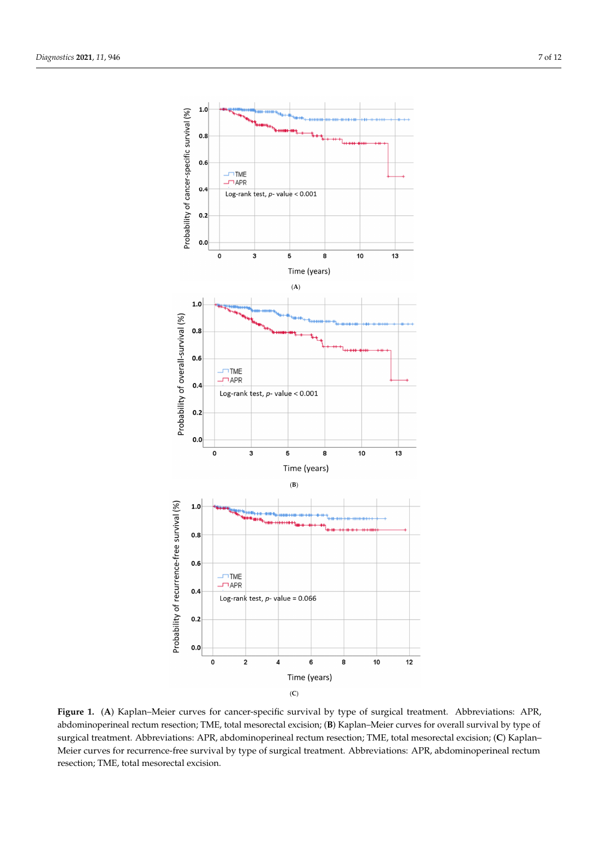respectively.

<span id="page-6-0"></span>

**Figure 1. (A)** Kaplan–Meier curves for cancer-specific survival by type of surgical treatment. Abbreviations: APR, abdominoperineal rectum resection; TME, total mesorectal excision; (B) Kaplan–Meier curves for overall survival by type of abdominately recture recture  $\mathcal{L}(\mathcal{C})$  and  $\mathcal{L}(\mathcal{C})$  and  $\mathcal{L}(\mathcal{C})$  and  $\mathcal{L}(\mathcal{C})$  curves for  $\mathcal{L}(\mathcal{C})$ surgical treatment. Abbreviations: APR, abdominoperineal rectum resection; TME, total mesorectal excision; **(C**) Kaplan– Meier curves for recurrence-free survival by type of surgical treatment. Abbreviations: APR, abdominoperineal rectum resection; TME, total mesorectal excision.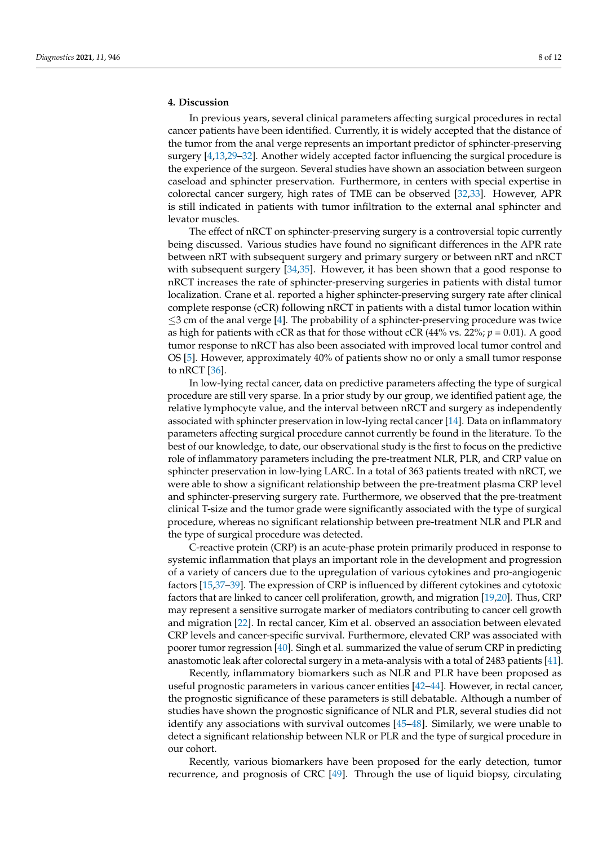## **4. Discussion**

In previous years, several clinical parameters affecting surgical procedures in rectal cancer patients have been identified. Currently, it is widely accepted that the distance of the tumor from the anal verge represents an important predictor of sphincter-preserving surgery [\[4](#page-9-3)[,13](#page-9-6)[,29](#page-10-3)[–32\]](#page-10-4). Another widely accepted factor influencing the surgical procedure is the experience of the surgeon. Several studies have shown an association between surgeon caseload and sphincter preservation. Furthermore, in centers with special expertise in colorectal cancer surgery, high rates of TME can be observed [\[32,](#page-10-4)[33\]](#page-10-5). However, APR is still indicated in patients with tumor infiltration to the external anal sphincter and levator muscles.

The effect of nRCT on sphincter-preserving surgery is a controversial topic currently being discussed. Various studies have found no significant differences in the APR rate between nRT with subsequent surgery and primary surgery or between nRT and nRCT with subsequent surgery [\[34,](#page-10-6)[35\]](#page-10-7). However, it has been shown that a good response to nRCT increases the rate of sphincter-preserving surgeries in patients with distal tumor localization. Crane et al. reported a higher sphincter-preserving surgery rate after clinical complete response (cCR) following nRCT in patients with a distal tumor location within  $\leq$ 3 cm of the anal verge [\[4\]](#page-9-3). The probability of a sphincter-preserving procedure was twice as high for patients with cCR as that for those without cCR (44% vs. 22%; *p* = 0.01). A good tumor response to nRCT has also been associated with improved local tumor control and OS [\[5\]](#page-9-4). However, approximately 40% of patients show no or only a small tumor response to nRCT [\[36\]](#page-10-8).

In low-lying rectal cancer, data on predictive parameters affecting the type of surgical procedure are still very sparse. In a prior study by our group, we identified patient age, the relative lymphocyte value, and the interval between nRCT and surgery as independently associated with sphincter preservation in low-lying rectal cancer [\[14\]](#page-9-7). Data on inflammatory parameters affecting surgical procedure cannot currently be found in the literature. To the best of our knowledge, to date, our observational study is the first to focus on the predictive role of inflammatory parameters including the pre-treatment NLR, PLR, and CRP value on sphincter preservation in low-lying LARC. In a total of 363 patients treated with nRCT, we were able to show a significant relationship between the pre-treatment plasma CRP level and sphincter-preserving surgery rate. Furthermore, we observed that the pre-treatment clinical T-size and the tumor grade were significantly associated with the type of surgical procedure, whereas no significant relationship between pre-treatment NLR and PLR and the type of surgical procedure was detected.

C-reactive protein (CRP) is an acute-phase protein primarily produced in response to systemic inflammation that plays an important role in the development and progression of a variety of cancers due to the upregulation of various cytokines and pro-angiogenic factors [\[15](#page-9-8)[,37](#page-10-9)[–39\]](#page-10-10). The expression of CRP is influenced by different cytokines and cytotoxic factors that are linked to cancer cell proliferation, growth, and migration [\[19](#page-9-11)[,20\]](#page-9-12). Thus, CRP may represent a sensitive surrogate marker of mediators contributing to cancer cell growth and migration [\[22\]](#page-9-13). In rectal cancer, Kim et al. observed an association between elevated CRP levels and cancer-specific survival. Furthermore, elevated CRP was associated with poorer tumor regression [\[40\]](#page-10-11). Singh et al. summarized the value of serum CRP in predicting anastomotic leak after colorectal surgery in a meta-analysis with a total of 2483 patients [\[41\]](#page-10-12).

Recently, inflammatory biomarkers such as NLR and PLR have been proposed as useful prognostic parameters in various cancer entities [\[42](#page-10-13)[–44\]](#page-10-14). However, in rectal cancer, the prognostic significance of these parameters is still debatable. Although a number of studies have shown the prognostic significance of NLR and PLR, several studies did not identify any associations with survival outcomes [\[45–](#page-10-15)[48\]](#page-10-16). Similarly, we were unable to detect a significant relationship between NLR or PLR and the type of surgical procedure in our cohort.

Recently, various biomarkers have been proposed for the early detection, tumor recurrence, and prognosis of CRC [\[49\]](#page-11-0). Through the use of liquid biopsy, circulating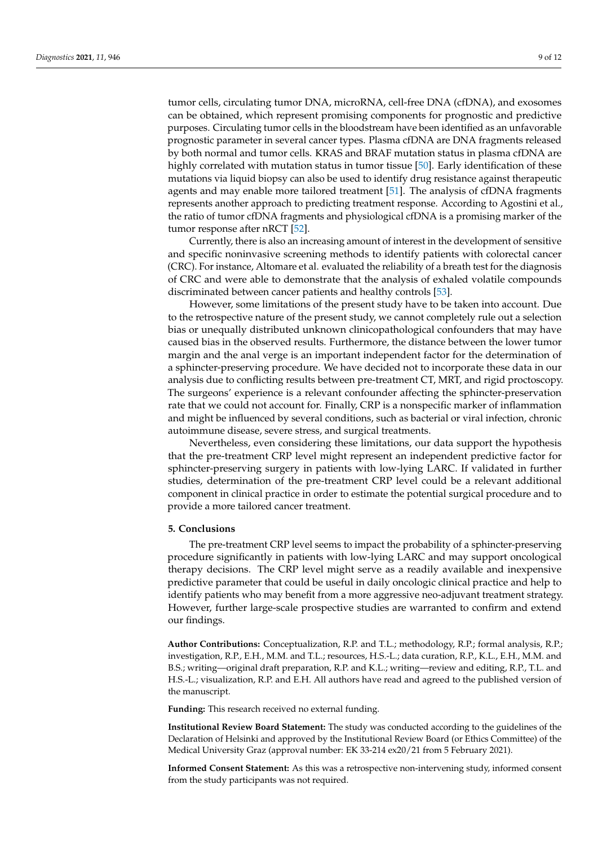tumor cells, circulating tumor DNA, microRNA, cell-free DNA (cfDNA), and exosomes can be obtained, which represent promising components for prognostic and predictive purposes. Circulating tumor cells in the bloodstream have been identified as an unfavorable prognostic parameter in several cancer types. Plasma cfDNA are DNA fragments released by both normal and tumor cells. KRAS and BRAF mutation status in plasma cfDNA are highly correlated with mutation status in tumor tissue [\[50\]](#page-11-1). Early identification of these mutations via liquid biopsy can also be used to identify drug resistance against therapeutic agents and may enable more tailored treatment [\[51\]](#page-11-2). The analysis of cfDNA fragments represents another approach to predicting treatment response. According to Agostini et al., the ratio of tumor cfDNA fragments and physiological cfDNA is a promising marker of the tumor response after nRCT [\[52\]](#page-11-3).

Currently, there is also an increasing amount of interest in the development of sensitive and specific noninvasive screening methods to identify patients with colorectal cancer (CRC). For instance, Altomare et al. evaluated the reliability of a breath test for the diagnosis of CRC and were able to demonstrate that the analysis of exhaled volatile compounds discriminated between cancer patients and healthy controls [\[53\]](#page-11-4).

However, some limitations of the present study have to be taken into account. Due to the retrospective nature of the present study, we cannot completely rule out a selection bias or unequally distributed unknown clinicopathological confounders that may have caused bias in the observed results. Furthermore, the distance between the lower tumor margin and the anal verge is an important independent factor for the determination of a sphincter-preserving procedure. We have decided not to incorporate these data in our analysis due to conflicting results between pre-treatment CT, MRT, and rigid proctoscopy. The surgeons' experience is a relevant confounder affecting the sphincter-preservation rate that we could not account for. Finally, CRP is a nonspecific marker of inflammation and might be influenced by several conditions, such as bacterial or viral infection, chronic autoimmune disease, severe stress, and surgical treatments.

Nevertheless, even considering these limitations, our data support the hypothesis that the pre-treatment CRP level might represent an independent predictive factor for sphincter-preserving surgery in patients with low-lying LARC. If validated in further studies, determination of the pre-treatment CRP level could be a relevant additional component in clinical practice in order to estimate the potential surgical procedure and to provide a more tailored cancer treatment.

## **5. Conclusions**

The pre-treatment CRP level seems to impact the probability of a sphincter-preserving procedure significantly in patients with low-lying LARC and may support oncological therapy decisions. The CRP level might serve as a readily available and inexpensive predictive parameter that could be useful in daily oncologic clinical practice and help to identify patients who may benefit from a more aggressive neo-adjuvant treatment strategy. However, further large-scale prospective studies are warranted to confirm and extend our findings.

**Author Contributions:** Conceptualization, R.P. and T.L.; methodology, R.P.; formal analysis, R.P.; investigation, R.P., E.H., M.M. and T.L.; resources, H.S.-L.; data curation, R.P., K.L., E.H., M.M. and B.S.; writing—original draft preparation, R.P. and K.L.; writing—review and editing, R.P., T.L. and H.S.-L.; visualization, R.P. and E.H. All authors have read and agreed to the published version of the manuscript.

**Funding:** This research received no external funding.

**Institutional Review Board Statement:** The study was conducted according to the guidelines of the Declaration of Helsinki and approved by the Institutional Review Board (or Ethics Committee) of the Medical University Graz (approval number: EK 33-214 ex20/21 from 5 February 2021).

**Informed Consent Statement:** As this was a retrospective non-intervening study, informed consent from the study participants was not required.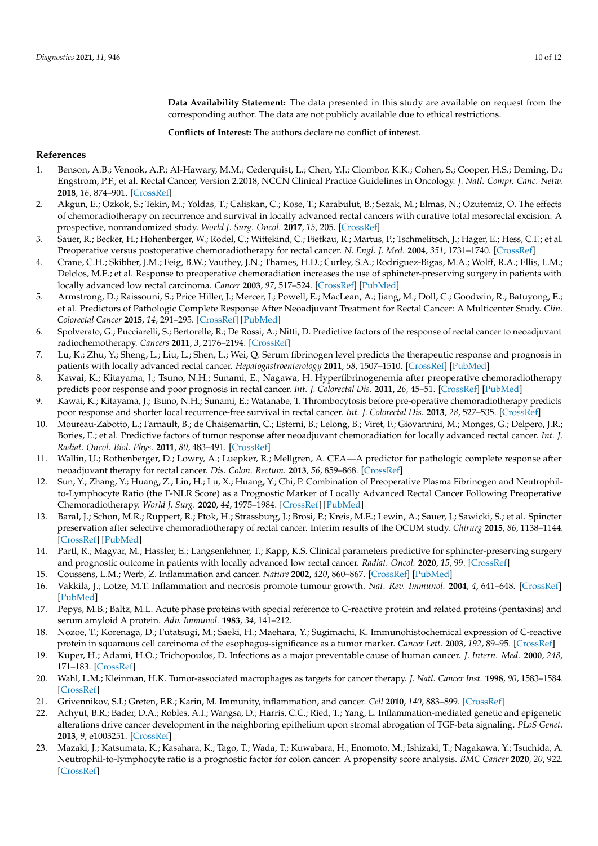**Data Availability Statement:** The data presented in this study are available on request from the corresponding author. The data are not publicly available due to ethical restrictions.

**Conflicts of Interest:** The authors declare no conflict of interest.

## **References**

- <span id="page-9-0"></span>1. Benson, A.B.; Venook, A.P.; Al-Hawary, M.M.; Cederquist, L.; Chen, Y.J.; Ciombor, K.K.; Cohen, S.; Cooper, H.S.; Deming, D.; Engstrom, P.F.; et al. Rectal Cancer, Version 2.2018, NCCN Clinical Practice Guidelines in Oncology. *J. Natl. Compr. Canc. Netw.* **2018**, *16*, 874–901. [\[CrossRef\]](http://doi.org/10.6004/jnccn.2018.0061)
- <span id="page-9-1"></span>2. Akgun, E.; Ozkok, S.; Tekin, M.; Yoldas, T.; Caliskan, C.; Kose, T.; Karabulut, B.; Sezak, M.; Elmas, N.; Ozutemiz, O. The effects of chemoradiotherapy on recurrence and survival in locally advanced rectal cancers with curative total mesorectal excision: A prospective, nonrandomized study. *World J. Surg. Oncol.* **2017**, *15*, 205. [\[CrossRef\]](http://doi.org/10.1186/s12957-017-1275-4)
- <span id="page-9-2"></span>3. Sauer, R.; Becker, H.; Hohenberger, W.; Rodel, C.; Wittekind, C.; Fietkau, R.; Martus, P.; Tschmelitsch, J.; Hager, E.; Hess, C.F.; et al. Preoperative versus postoperative chemoradiotherapy for rectal cancer. *N. Engl. J. Med.* **2004**, *351*, 1731–1740. [\[CrossRef\]](http://doi.org/10.1056/NEJMoa040694)
- <span id="page-9-3"></span>4. Crane, C.H.; Skibber, J.M.; Feig, B.W.; Vauthey, J.N.; Thames, H.D.; Curley, S.A.; Rodriguez-Bigas, M.A.; Wolff, R.A.; Ellis, L.M.; Delclos, M.E.; et al. Response to preoperative chemoradiation increases the use of sphincter-preserving surgery in patients with locally advanced low rectal carcinoma. *Cancer* **2003**, *97*, 517–524. [\[CrossRef\]](http://doi.org/10.1002/cncr.11075) [\[PubMed\]](http://www.ncbi.nlm.nih.gov/pubmed/12518377)
- <span id="page-9-4"></span>5. Armstrong, D.; Raissouni, S.; Price Hiller, J.; Mercer, J.; Powell, E.; MacLean, A.; Jiang, M.; Doll, C.; Goodwin, R.; Batuyong, E.; et al. Predictors of Pathologic Complete Response After Neoadjuvant Treatment for Rectal Cancer: A Multicenter Study. *Clin. Colorectal Cancer* **2015**, *14*, 291–295. [\[CrossRef\]](http://doi.org/10.1016/j.clcc.2015.06.001) [\[PubMed\]](http://www.ncbi.nlm.nih.gov/pubmed/26433487)
- 6. Spolverato, G.; Pucciarelli, S.; Bertorelle, R.; De Rossi, A.; Nitti, D. Predictive factors of the response of rectal cancer to neoadjuvant radiochemotherapy. *Cancers* **2011**, *3*, 2176–2194. [\[CrossRef\]](http://doi.org/10.3390/cancers3022176)
- 7. Lu, K.; Zhu, Y.; Sheng, L.; Liu, L.; Shen, L.; Wei, Q. Serum fibrinogen level predicts the therapeutic response and prognosis in patients with locally advanced rectal cancer. *Hepatogastroenterology* **2011**, *58*, 1507–1510. [\[CrossRef\]](http://doi.org/10.5754/hge11133) [\[PubMed\]](http://www.ncbi.nlm.nih.gov/pubmed/21940318)
- 8. Kawai, K.; Kitayama, J.; Tsuno, N.H.; Sunami, E.; Nagawa, H. Hyperfibrinogenemia after preoperative chemoradiotherapy predicts poor response and poor prognosis in rectal cancer. *Int. J. Colorectal Dis.* **2011**, *26*, 45–51. [\[CrossRef\]](http://doi.org/10.1007/s00384-010-1054-y) [\[PubMed\]](http://www.ncbi.nlm.nih.gov/pubmed/20809424)
- 9. Kawai, K.; Kitayama, J.; Tsuno, N.H.; Sunami, E.; Watanabe, T. Thrombocytosis before pre-operative chemoradiotherapy predicts poor response and shorter local recurrence-free survival in rectal cancer. *Int. J. Colorectal Dis.* **2013**, *28*, 527–535. [\[CrossRef\]](http://doi.org/10.1007/s00384-012-1594-4)
- 10. Moureau-Zabotto, L.; Farnault, B.; de Chaisemartin, C.; Esterni, B.; Lelong, B.; Viret, F.; Giovannini, M.; Monges, G.; Delpero, J.R.; Bories, E.; et al. Predictive factors of tumor response after neoadjuvant chemoradiation for locally advanced rectal cancer. *Int. J. Radiat. Oncol. Biol. Phys.* **2011**, *80*, 483–491. [\[CrossRef\]](http://doi.org/10.1016/j.ijrobp.2010.02.025)
- 11. Wallin, U.; Rothenberger, D.; Lowry, A.; Luepker, R.; Mellgren, A. CEA—A predictor for pathologic complete response after neoadjuvant therapy for rectal cancer. *Dis. Colon. Rectum.* **2013**, *56*, 859–868. [\[CrossRef\]](http://doi.org/10.1097/DCR.0b013e31828e5a72)
- <span id="page-9-5"></span>12. Sun, Y.; Zhang, Y.; Huang, Z.; Lin, H.; Lu, X.; Huang, Y.; Chi, P. Combination of Preoperative Plasma Fibrinogen and Neutrophilto-Lymphocyte Ratio (the F-NLR Score) as a Prognostic Marker of Locally Advanced Rectal Cancer Following Preoperative Chemoradiotherapy. *World J. Surg.* **2020**, *44*, 1975–1984. [\[CrossRef\]](http://doi.org/10.1007/s00268-020-05407-3) [\[PubMed\]](http://www.ncbi.nlm.nih.gov/pubmed/32020327)
- <span id="page-9-6"></span>13. Baral, J.; Schon, M.R.; Ruppert, R.; Ptok, H.; Strassburg, J.; Brosi, P.; Kreis, M.E.; Lewin, A.; Sauer, J.; Sawicki, S.; et al. Spincter preservation after selective chemoradiotherapy of rectal cancer. Interim results of the OCUM study. *Chirurg* **2015**, *86*, 1138–1144. [\[CrossRef\]](http://doi.org/10.1007/s00104-015-0083-z) [\[PubMed\]](http://www.ncbi.nlm.nih.gov/pubmed/26347011)
- <span id="page-9-7"></span>14. Partl, R.; Magyar, M.; Hassler, E.; Langsenlehner, T.; Kapp, K.S. Clinical parameters predictive for sphincter-preserving surgery and prognostic outcome in patients with locally advanced low rectal cancer. *Radiat. Oncol.* **2020**, *15*, 99. [\[CrossRef\]](http://doi.org/10.1186/s13014-020-01554-y)
- <span id="page-9-8"></span>15. Coussens, L.M.; Werb, Z. Inflammation and cancer. *Nature* **2002**, *420*, 860–867. [\[CrossRef\]](http://doi.org/10.1038/nature01322) [\[PubMed\]](http://www.ncbi.nlm.nih.gov/pubmed/12490959)
- <span id="page-9-9"></span>16. Vakkila, J.; Lotze, M.T. Inflammation and necrosis promote tumour growth. *Nat. Rev. Immunol.* **2004**, *4*, 641–648. [\[CrossRef\]](http://doi.org/10.1038/nri1415) [\[PubMed\]](http://www.ncbi.nlm.nih.gov/pubmed/15286730)
- <span id="page-9-10"></span>17. Pepys, M.B.; Baltz, M.L. Acute phase proteins with special reference to C-reactive protein and related proteins (pentaxins) and serum amyloid A protein. *Adv. Immunol.* **1983**, *34*, 141–212.
- 18. Nozoe, T.; Korenaga, D.; Futatsugi, M.; Saeki, H.; Maehara, Y.; Sugimachi, K. Immunohistochemical expression of C-reactive protein in squamous cell carcinoma of the esophagus-significance as a tumor marker. *Cancer Lett.* **2003**, *192*, 89–95. [\[CrossRef\]](http://doi.org/10.1016/S0304-3835(02)00630-4)
- <span id="page-9-11"></span>19. Kuper, H.; Adami, H.O.; Trichopoulos, D. Infections as a major preventable cause of human cancer. *J. Intern. Med.* **2000**, *248*, 171–183. [\[CrossRef\]](http://doi.org/10.1046/j.1365-2796.2000.00742.x)
- <span id="page-9-12"></span>20. Wahl, L.M.; Kleinman, H.K. Tumor-associated macrophages as targets for cancer therapy. *J. Natl. Cancer Inst.* **1998**, *90*, 1583–1584. [\[CrossRef\]](http://doi.org/10.1093/jnci/90.21.1583)
- 21. Grivennikov, S.I.; Greten, F.R.; Karin, M. Immunity, inflammation, and cancer. *Cell* **2010**, *140*, 883–899. [\[CrossRef\]](http://doi.org/10.1016/j.cell.2010.01.025)
- <span id="page-9-13"></span>22. Achyut, B.R.; Bader, D.A.; Robles, A.I.; Wangsa, D.; Harris, C.C.; Ried, T.; Yang, L. Inflammation-mediated genetic and epigenetic alterations drive cancer development in the neighboring epithelium upon stromal abrogation of TGF-beta signaling. *PLoS Genet.* **2013**, *9*, e1003251. [\[CrossRef\]](http://doi.org/10.1371/journal.pgen.1003251)
- 23. Mazaki, J.; Katsumata, K.; Kasahara, K.; Tago, T.; Wada, T.; Kuwabara, H.; Enomoto, M.; Ishizaki, T.; Nagakawa, Y.; Tsuchida, A. Neutrophil-to-lymphocyte ratio is a prognostic factor for colon cancer: A propensity score analysis. *BMC Cancer* **2020**, *20*, 922. [\[CrossRef\]](http://doi.org/10.1186/s12885-020-07429-5)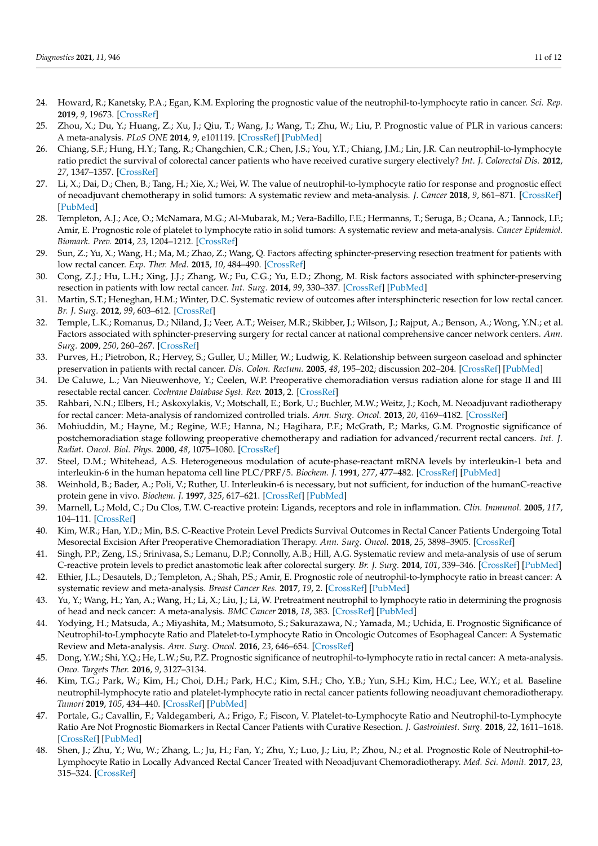- 24. Howard, R.; Kanetsky, P.A.; Egan, K.M. Exploring the prognostic value of the neutrophil-to-lymphocyte ratio in cancer. *Sci. Rep.* **2019**, *9*, 19673. [\[CrossRef\]](http://doi.org/10.1038/s41598-019-56218-z)
- <span id="page-10-0"></span>25. Zhou, X.; Du, Y.; Huang, Z.; Xu, J.; Qiu, T.; Wang, J.; Wang, T.; Zhu, W.; Liu, P. Prognostic value of PLR in various cancers: A meta-analysis. *PLoS ONE* **2014**, *9*, e101119. [\[CrossRef\]](http://doi.org/10.1371/journal.pone.0101119) [\[PubMed\]](http://www.ncbi.nlm.nih.gov/pubmed/24968121)
- <span id="page-10-1"></span>26. Chiang, S.F.; Hung, H.Y.; Tang, R.; Changchien, C.R.; Chen, J.S.; You, Y.T.; Chiang, J.M.; Lin, J.R. Can neutrophil-to-lymphocyte ratio predict the survival of colorectal cancer patients who have received curative surgery electively? *Int. J. Colorectal Dis.* **2012**, *27*, 1347–1357. [\[CrossRef\]](http://doi.org/10.1007/s00384-012-1459-x)
- 27. Li, X.; Dai, D.; Chen, B.; Tang, H.; Xie, X.; Wei, W. The value of neutrophil-to-lymphocyte ratio for response and prognostic effect of neoadjuvant chemotherapy in solid tumors: A systematic review and meta-analysis. *J. Cancer* **2018**, *9*, 861–871. [\[CrossRef\]](http://doi.org/10.7150/jca.23367) [\[PubMed\]](http://www.ncbi.nlm.nih.gov/pubmed/29581764)
- <span id="page-10-2"></span>28. Templeton, A.J.; Ace, O.; McNamara, M.G.; Al-Mubarak, M.; Vera-Badillo, F.E.; Hermanns, T.; Seruga, B.; Ocana, A.; Tannock, I.F.; Amir, E. Prognostic role of platelet to lymphocyte ratio in solid tumors: A systematic review and meta-analysis. *Cancer Epidemiol. Biomark. Prev.* **2014**, *23*, 1204–1212. [\[CrossRef\]](http://doi.org/10.1158/1055-9965.EPI-14-0146)
- <span id="page-10-3"></span>29. Sun, Z.; Yu, X.; Wang, H.; Ma, M.; Zhao, Z.; Wang, Q. Factors affecting sphincter-preserving resection treatment for patients with low rectal cancer. *Exp. Ther. Med.* **2015**, *10*, 484–490. [\[CrossRef\]](http://doi.org/10.3892/etm.2015.2552)
- 30. Cong, Z.J.; Hu, L.H.; Xing, J.J.; Zhang, W.; Fu, C.G.; Yu, E.D.; Zhong, M. Risk factors associated with sphincter-preserving resection in patients with low rectal cancer. *Int. Surg.* **2014**, *99*, 330–337. [\[CrossRef\]](http://doi.org/10.9738/INTSURG-D-13-00217.1) [\[PubMed\]](http://www.ncbi.nlm.nih.gov/pubmed/25058761)
- 31. Martin, S.T.; Heneghan, H.M.; Winter, D.C. Systematic review of outcomes after intersphincteric resection for low rectal cancer. *Br. J. Surg.* **2012**, *99*, 603–612. [\[CrossRef\]](http://doi.org/10.1002/bjs.8677)
- <span id="page-10-4"></span>32. Temple, L.K.; Romanus, D.; Niland, J.; Veer, A.T.; Weiser, M.R.; Skibber, J.; Wilson, J.; Rajput, A.; Benson, A.; Wong, Y.N.; et al. Factors associated with sphincter-preserving surgery for rectal cancer at national comprehensive cancer network centers. *Ann. Surg.* **2009**, *250*, 260–267. [\[CrossRef\]](http://doi.org/10.1097/SLA.0b013e3181ae330e)
- <span id="page-10-5"></span>33. Purves, H.; Pietrobon, R.; Hervey, S.; Guller, U.; Miller, W.; Ludwig, K. Relationship between surgeon caseload and sphincter preservation in patients with rectal cancer. *Dis. Colon. Rectum.* **2005**, *48*, 195–202; discussion 202–204. [\[CrossRef\]](http://doi.org/10.1007/s10350-004-0793-7) [\[PubMed\]](http://www.ncbi.nlm.nih.gov/pubmed/15812583)
- <span id="page-10-6"></span>34. De Caluwe, L.; Van Nieuwenhove, Y.; Ceelen, W.P. Preoperative chemoradiation versus radiation alone for stage II and III resectable rectal cancer. *Cochrane Database Syst. Rev.* **2013**, 2. [\[CrossRef\]](http://doi.org/10.1002/14651858.CD006041.pub3)
- <span id="page-10-7"></span>35. Rahbari, N.N.; Elbers, H.; Askoxylakis, V.; Motschall, E.; Bork, U.; Buchler, M.W.; Weitz, J.; Koch, M. Neoadjuvant radiotherapy for rectal cancer: Meta-analysis of randomized controlled trials. *Ann. Surg. Oncol.* **2013**, *20*, 4169–4182. [\[CrossRef\]](http://doi.org/10.1245/s10434-013-3198-9)
- <span id="page-10-8"></span>36. Mohiuddin, M.; Hayne, M.; Regine, W.F.; Hanna, N.; Hagihara, P.F.; McGrath, P.; Marks, G.M. Prognostic significance of postchemoradiation stage following preoperative chemotherapy and radiation for advanced/recurrent rectal cancers. *Int. J. Radiat. Oncol. Biol. Phys.* **2000**, *48*, 1075–1080. [\[CrossRef\]](http://doi.org/10.1016/S0360-3016(00)00732-X)
- <span id="page-10-9"></span>37. Steel, D.M.; Whitehead, A.S. Heterogeneous modulation of acute-phase-reactant mRNA levels by interleukin-1 beta and interleukin-6 in the human hepatoma cell line PLC/PRF/5. *Biochem. J.* **1991**, *277*, 477–482. [\[CrossRef\]](http://doi.org/10.1042/bj2770477) [\[PubMed\]](http://www.ncbi.nlm.nih.gov/pubmed/1713447)
- 38. Weinhold, B.; Bader, A.; Poli, V.; Ruther, U. Interleukin-6 is necessary, but not sufficient, for induction of the humanC-reactive protein gene in vivo. *Biochem. J.* **1997**, *325*, 617–621. [\[CrossRef\]](http://doi.org/10.1042/bj3250617) [\[PubMed\]](http://www.ncbi.nlm.nih.gov/pubmed/9271080)
- <span id="page-10-10"></span>39. Marnell, L.; Mold, C.; Du Clos, T.W. C-reactive protein: Ligands, receptors and role in inflammation. *Clin. Immunol.* **2005**, *117*, 104–111. [\[CrossRef\]](http://doi.org/10.1016/j.clim.2005.08.004)
- <span id="page-10-11"></span>40. Kim, W.R.; Han, Y.D.; Min, B.S. C-Reactive Protein Level Predicts Survival Outcomes in Rectal Cancer Patients Undergoing Total Mesorectal Excision After Preoperative Chemoradiation Therapy. *Ann. Surg. Oncol.* **2018**, *25*, 3898–3905. [\[CrossRef\]](http://doi.org/10.1245/s10434-018-6828-4)
- <span id="page-10-12"></span>41. Singh, P.P.; Zeng, I.S.; Srinivasa, S.; Lemanu, D.P.; Connolly, A.B.; Hill, A.G. Systematic review and meta-analysis of use of serum C-reactive protein levels to predict anastomotic leak after colorectal surgery. *Br. J. Surg.* **2014**, *101*, 339–346. [\[CrossRef\]](http://doi.org/10.1002/bjs.9354) [\[PubMed\]](http://www.ncbi.nlm.nih.gov/pubmed/24311257)
- <span id="page-10-13"></span>42. Ethier, J.L.; Desautels, D.; Templeton, A.; Shah, P.S.; Amir, E. Prognostic role of neutrophil-to-lymphocyte ratio in breast cancer: A systematic review and meta-analysis. *Breast Cancer Res.* **2017**, *19*, 2. [\[CrossRef\]](http://doi.org/10.1186/s13058-016-0794-1) [\[PubMed\]](http://www.ncbi.nlm.nih.gov/pubmed/28057046)
- 43. Yu, Y.; Wang, H.; Yan, A.; Wang, H.; Li, X.; Liu, J.; Li, W. Pretreatment neutrophil to lymphocyte ratio in determining the prognosis of head and neck cancer: A meta-analysis. *BMC Cancer* **2018**, *18*, 383. [\[CrossRef\]](http://doi.org/10.1186/s12885-018-4230-z) [\[PubMed\]](http://www.ncbi.nlm.nih.gov/pubmed/29618336)
- <span id="page-10-14"></span>44. Yodying, H.; Matsuda, A.; Miyashita, M.; Matsumoto, S.; Sakurazawa, N.; Yamada, M.; Uchida, E. Prognostic Significance of Neutrophil-to-Lymphocyte Ratio and Platelet-to-Lymphocyte Ratio in Oncologic Outcomes of Esophageal Cancer: A Systematic Review and Meta-analysis. *Ann. Surg. Oncol.* **2016**, *23*, 646–654. [\[CrossRef\]](http://doi.org/10.1245/s10434-015-4869-5)
- <span id="page-10-15"></span>45. Dong, Y.W.; Shi, Y.Q.; He, L.W.; Su, P.Z. Prognostic significance of neutrophil-to-lymphocyte ratio in rectal cancer: A meta-analysis. *Onco. Targets Ther.* **2016**, *9*, 3127–3134.
- 46. Kim, T.G.; Park, W.; Kim, H.; Choi, D.H.; Park, H.C.; Kim, S.H.; Cho, Y.B.; Yun, S.H.; Kim, H.C.; Lee, W.Y.; et al. Baseline neutrophil-lymphocyte ratio and platelet-lymphocyte ratio in rectal cancer patients following neoadjuvant chemoradiotherapy. *Tumori* **2019**, *105*, 434–440. [\[CrossRef\]](http://doi.org/10.1177/0300891618792476) [\[PubMed\]](http://www.ncbi.nlm.nih.gov/pubmed/30117371)
- 47. Portale, G.; Cavallin, F.; Valdegamberi, A.; Frigo, F.; Fiscon, V. Platelet-to-Lymphocyte Ratio and Neutrophil-to-Lymphocyte Ratio Are Not Prognostic Biomarkers in Rectal Cancer Patients with Curative Resection. *J. Gastrointest. Surg.* **2018**, *22*, 1611–1618. [\[CrossRef\]](http://doi.org/10.1007/s11605-018-3781-2) [\[PubMed\]](http://www.ncbi.nlm.nih.gov/pubmed/29687424)
- <span id="page-10-16"></span>48. Shen, J.; Zhu, Y.; Wu, W.; Zhang, L.; Ju, H.; Fan, Y.; Zhu, Y.; Luo, J.; Liu, P.; Zhou, N.; et al. Prognostic Role of Neutrophil-to-Lymphocyte Ratio in Locally Advanced Rectal Cancer Treated with Neoadjuvant Chemoradiotherapy. *Med. Sci. Monit.* **2017**, *23*, 315–324. [\[CrossRef\]](http://doi.org/10.12659/MSM.902752)